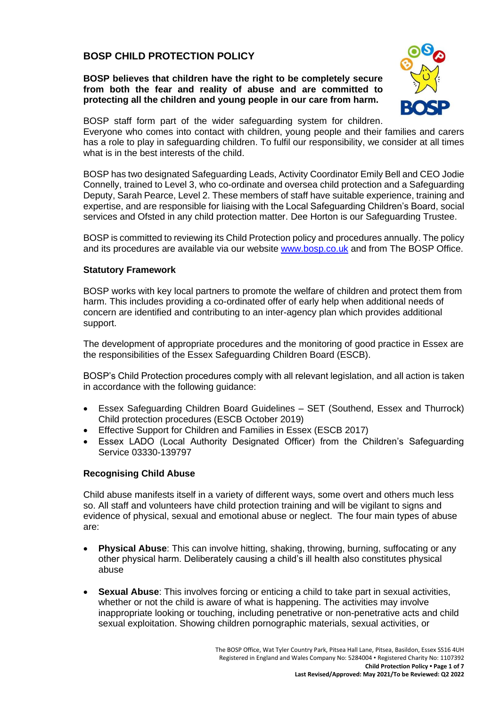# **BOSP CHILD PROTECTION POLICY**

**BOSP believes that children have the right to be completely secure from both the fear and reality of abuse and are committed to protecting all the children and young people in our care from harm.** 



BOSP staff form part of the wider safeguarding system for children.

Everyone who comes into contact with children, young people and their families and carers has a role to play in safeguarding children. To fulfil our responsibility, we consider at all times what is in the best interests of the child.

BOSP has two designated Safeguarding Leads, Activity Coordinator Emily Bell and CEO Jodie Connelly, trained to Level 3, who co-ordinate and oversea child protection and a Safeguarding Deputy, Sarah Pearce, Level 2. These members of staff have suitable experience, training and expertise, and are responsible for liaising with the Local Safeguarding Children's Board, social services and Ofsted in any child protection matter. Dee Horton is our Safeguarding Trustee.

BOSP is committed to reviewing its Child Protection policy and procedures annually. The policy and its procedures are available via our website [www.bosp.co.uk](http://www.bosp.co.uk/) and from The BOSP Office.

# **Statutory Framework**

BOSP works with key local partners to promote the welfare of children and protect them from harm. This includes providing a co-ordinated offer of early help when additional needs of concern are identified and contributing to an inter-agency plan which provides additional support.

The development of appropriate procedures and the monitoring of good practice in Essex are the responsibilities of the Essex Safeguarding Children Board (ESCB).

BOSP's Child Protection procedures comply with all relevant legislation, and all action is taken in accordance with the following guidance:

- Essex Safeguarding Children Board Guidelines SET (Southend, Essex and Thurrock) Child protection procedures (ESCB October 2019)
- Effective Support for Children and Families in Essex (ESCB 2017)
- Essex LADO (Local Authority Designated Officer) from the Children's Safeguarding Service 03330-139797

# **Recognising Child Abuse**

Child abuse manifests itself in a variety of different ways, some overt and others much less so. All staff and volunteers have child protection training and will be vigilant to signs and evidence of physical, sexual and emotional abuse or neglect. The four main types of abuse are:

- **Physical Abuse**: This can involve hitting, shaking, throwing, burning, suffocating or any other physical harm. Deliberately causing a child's ill health also constitutes physical abuse
- **Sexual Abuse**: This involves forcing or enticing a child to take part in sexual activities, whether or not the child is aware of what is happening. The activities may involve inappropriate looking or touching, including penetrative or non-penetrative acts and child sexual exploitation. Showing children pornographic materials, sexual activities, or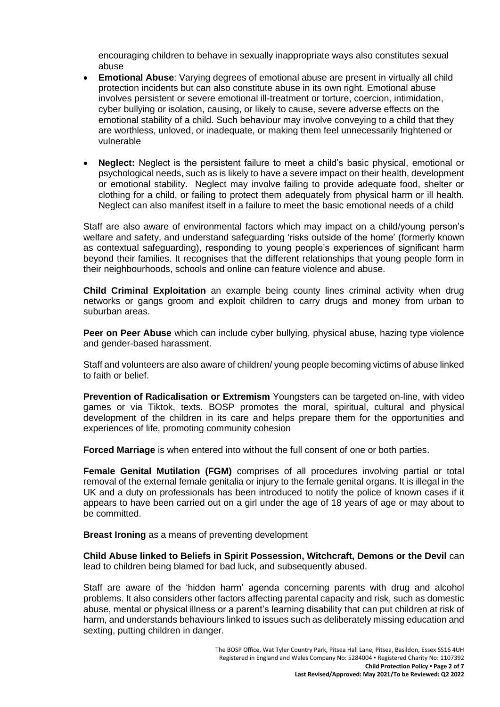encouraging children to behave in sexually inappropriate ways also constitutes sexual abuse

- **Emotional Abuse**: Varying degrees of emotional abuse are present in virtually all child protection incidents but can also constitute abuse in its own right. Emotional abuse involves persistent or severe emotional ill-treatment or torture, coercion, intimidation, cyber bullying or isolation, causing, or likely to cause, severe adverse effects on the emotional stability of a child. Such behaviour may involve conveying to a child that they are worthless, unloved, or inadequate, or making them feel unnecessarily frightened or vulnerable
- **Neglect:** Neglect is the persistent failure to meet a child's basic physical, emotional or psychological needs, such as is likely to have a severe impact on their health, development or emotional stability. Neglect may involve failing to provide adequate food, shelter or clothing for a child, or failing to protect them adequately from physical harm or ill health. Neglect can also manifest itself in a failure to meet the basic emotional needs of a child

Staff are also aware of environmental factors which may impact on a child/young person's welfare and safety, and understand safeguarding 'risks outside of the home' (formerly known as contextual safeguarding), responding to young people's experiences of significant harm beyond their families. It recognises that the different relationships that young people form in their neighbourhoods, schools and online can feature violence and abuse.

**Child Criminal Exploitation** an example being county lines criminal activity when drug networks or gangs groom and exploit children to carry drugs and money from urban to suburban areas.

**Peer on Peer Abuse** which can include cyber bullying, physical abuse, hazing type violence and gender-based harassment.

Staff and volunteers are also aware of children/ young people becoming victims of abuse linked to faith or belief.

**Prevention of Radicalisation or Extremism** Youngsters can be targeted on-line, with video games or via Tiktok, texts. BOSP promotes the moral, spiritual, cultural and physical development of the children in its care and helps prepare them for the opportunities and experiences of life, promoting community cohesion

**Forced Marriage** is when entered into without the full consent of one or both parties.

**Female Genital Mutilation (FGM)** comprises of all procedures involving partial or total removal of the external female genitalia or injury to the female genital organs. It is illegal in the UK and a duty on professionals has been introduced to notify the police of known cases if it appears to have been carried out on a girl under the age of 18 years of age or may about to be committed.

**Breast Ironing** as a means of preventing development

**Child Abuse linked to Beliefs in Spirit Possession, Witchcraft, Demons or the Devil** can lead to children being blamed for bad luck, and subsequently abused.

Staff are aware of the 'hidden harm' agenda concerning parents with drug and alcohol problems. It also considers other factors affecting parental capacity and risk, such as domestic abuse, mental or physical illness or a parent's learning disability that can put children at risk of harm, and understands behaviours linked to issues such as deliberately missing education and sexting, putting children in danger.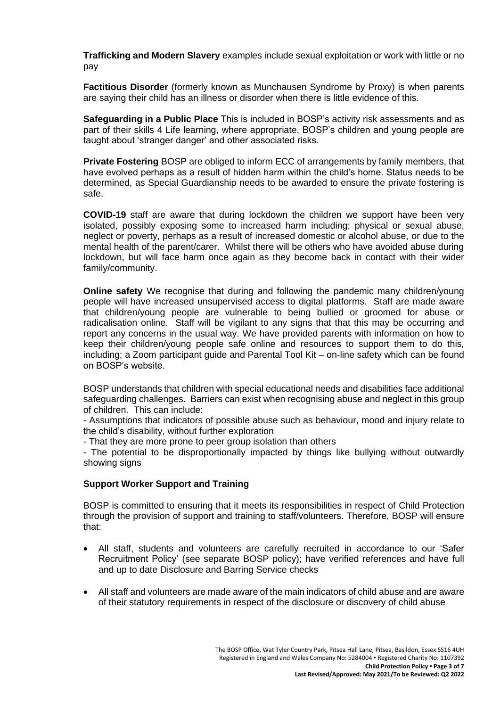**Trafficking and Modern Slavery** examples include sexual exploitation or work with little or no pay

**Factitious Disorder** (formerly known as Munchausen Syndrome by Proxy) is when parents are saying their child has an illness or disorder when there is little evidence of this.

**Safeguarding in a Public Place** This is included in BOSP's activity risk assessments and as part of their skills 4 Life learning, where appropriate, BOSP's children and young people are taught about 'stranger danger' and other associated risks.

**Private Fostering** BOSP are obliged to inform ECC of arrangements by family members, that have evolved perhaps as a result of hidden harm within the child's home. Status needs to be determined, as Special Guardianship needs to be awarded to ensure the private fostering is safe.

**COVID-19** staff are aware that during lockdown the children we support have been very isolated, possibly exposing some to increased harm including; physical or sexual abuse, neglect or poverty, perhaps as a result of increased domestic or alcohol abuse, or due to the mental health of the parent/carer. Whilst there will be others who have avoided abuse during lockdown, but will face harm once again as they become back in contact with their wider family/community.

**Online safety** We recognise that during and following the pandemic many children/young people will have increased unsupervised access to digital platforms. Staff are made aware that children/young people are vulnerable to being bullied or groomed for abuse or radicalisation online. Staff will be vigilant to any signs that that this may be occurring and report any concerns in the usual way. We have provided parents with information on how to keep their children/young people safe online and resources to support them to do this*,*  including; a Zoom participant guide and Parental Tool Kit – on-line safety which can be found on BOSP's website.

BOSP understands that children with special educational needs and disabilities face additional safeguarding challenges. Barriers can exist when recognising abuse and neglect in this group of children. This can include:

- Assumptions that indicators of possible abuse such as behaviour, mood and injury relate to the child's disability, without further exploration

- That they are more prone to peer group isolation than others

- The potential to be disproportionally impacted by things like bullying without outwardly showing signs

#### **Support Worker Support and Training**

BOSP is committed to ensuring that it meets its responsibilities in respect of Child Protection through the provision of support and training to staff/volunteers. Therefore, BOSP will ensure that:

- All staff, students and volunteers are carefully recruited in accordance to our 'Safer Recruitment Policy' (see separate BOSP policy); have verified references and have full and up to date Disclosure and Barring Service checks
- All staff and volunteers are made aware of the main indicators of child abuse and are aware of their statutory requirements in respect of the disclosure or discovery of child abuse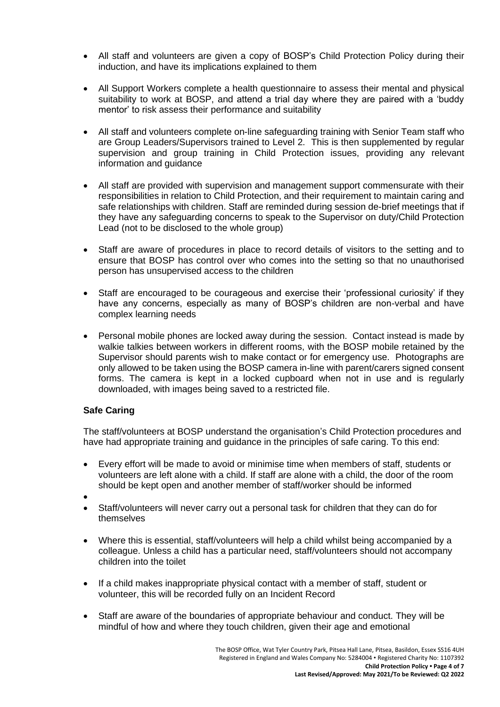- All staff and volunteers are given a copy of BOSP's Child Protection Policy during their induction, and have its implications explained to them
- All Support Workers complete a health questionnaire to assess their mental and physical suitability to work at BOSP, and attend a trial day where they are paired with a 'buddy mentor' to risk assess their performance and suitability
- All staff and volunteers complete on-line safeguarding training with Senior Team staff who are Group Leaders/Supervisors trained to Level 2. This is then supplemented by regular supervision and group training in Child Protection issues, providing any relevant information and guidance
- All staff are provided with supervision and management support commensurate with their responsibilities in relation to Child Protection, and their requirement to maintain caring and safe relationships with children. Staff are reminded during session de-brief meetings that if they have any safeguarding concerns to speak to the Supervisor on duty/Child Protection Lead (not to be disclosed to the whole group)
- Staff are aware of procedures in place to record details of visitors to the setting and to ensure that BOSP has control over who comes into the setting so that no unauthorised person has unsupervised access to the children
- Staff are encouraged to be courageous and exercise their 'professional curiosity' if they have any concerns, especially as many of BOSP's children are non-verbal and have complex learning needs
- Personal mobile phones are locked away during the session. Contact instead is made by walkie talkies between workers in different rooms, with the BOSP mobile retained by the Supervisor should parents wish to make contact or for emergency use. Photographs are only allowed to be taken using the BOSP camera in-line with parent/carers signed consent forms. The camera is kept in a locked cupboard when not in use and is regularly downloaded, with images being saved to a restricted file.

# **Safe Caring**

The staff/volunteers at BOSP understand the organisation's Child Protection procedures and have had appropriate training and guidance in the principles of safe caring. To this end:

- Every effort will be made to avoid or minimise time when members of staff, students or volunteers are left alone with a child. If staff are alone with a child, the door of the room should be kept open and another member of staff/worker should be informed
- •
- Staff/volunteers will never carry out a personal task for children that they can do for themselves
- Where this is essential, staff/volunteers will help a child whilst being accompanied by a colleague. Unless a child has a particular need, staff/volunteers should not accompany children into the toilet
- If a child makes inappropriate physical contact with a member of staff, student or volunteer, this will be recorded fully on an Incident Record
- Staff are aware of the boundaries of appropriate behaviour and conduct. They will be mindful of how and where they touch children, given their age and emotional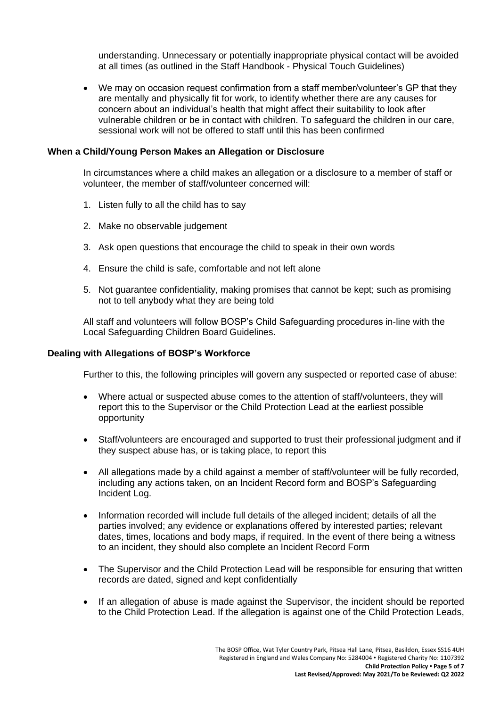understanding. Unnecessary or potentially inappropriate physical contact will be avoided at all times (as outlined in the Staff Handbook - Physical Touch Guidelines)

• We may on occasion request confirmation from a staff member/volunteer's GP that they are mentally and physically fit for work, to identify whether there are any causes for concern about an individual's health that might affect their suitability to look after vulnerable children or be in contact with children. To safeguard the children in our care, sessional work will not be offered to staff until this has been confirmed

#### **When a Child/Young Person Makes an Allegation or Disclosure**

In circumstances where a child makes an allegation or a disclosure to a member of staff or volunteer, the member of staff/volunteer concerned will:

- 1. Listen fully to all the child has to say
- 2. Make no observable judgement
- 3. Ask open questions that encourage the child to speak in their own words
- 4. Ensure the child is safe, comfortable and not left alone
- 5. Not guarantee confidentiality, making promises that cannot be kept; such as promising not to tell anybody what they are being told

All staff and volunteers will follow BOSP's Child Safeguarding procedures in-line with the Local Safeguarding Children Board Guidelines.

#### **Dealing with Allegations of BOSP's Workforce**

Further to this, the following principles will govern any suspected or reported case of abuse:

- Where actual or suspected abuse comes to the attention of staff/volunteers, they will report this to the Supervisor or the Child Protection Lead at the earliest possible opportunity
- Staff/volunteers are encouraged and supported to trust their professional judgment and if they suspect abuse has, or is taking place, to report this
- All allegations made by a child against a member of staff/volunteer will be fully recorded, including any actions taken, on an Incident Record form and BOSP's Safeguarding Incident Log.
- Information recorded will include full details of the alleged incident; details of all the parties involved; any evidence or explanations offered by interested parties; relevant dates, times, locations and body maps, if required. In the event of there being a witness to an incident, they should also complete an Incident Record Form
- The Supervisor and the Child Protection Lead will be responsible for ensuring that written records are dated, signed and kept confidentially
- If an allegation of abuse is made against the Supervisor, the incident should be reported to the Child Protection Lead. If the allegation is against one of the Child Protection Leads,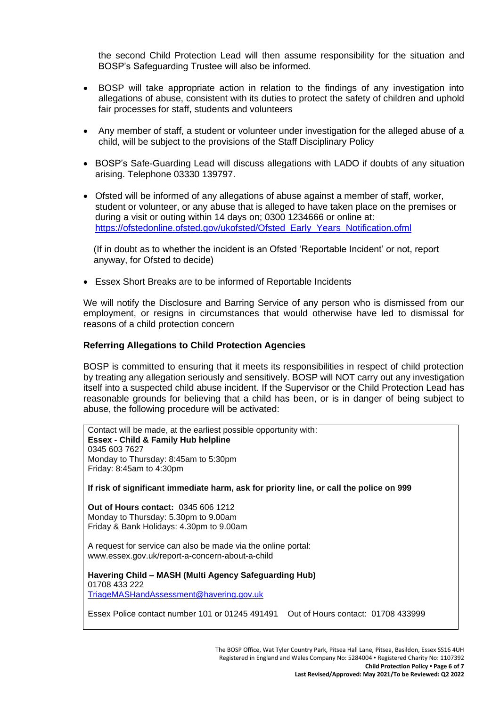the second Child Protection Lead will then assume responsibility for the situation and BOSP's Safeguarding Trustee will also be informed.

- BOSP will take appropriate action in relation to the findings of any investigation into allegations of abuse, consistent with its duties to protect the safety of children and uphold fair processes for staff, students and volunteers
- Any member of staff, a student or volunteer under investigation for the alleged abuse of a child, will be subject to the provisions of the Staff Disciplinary Policy
- BOSP's Safe-Guarding Lead will discuss allegations with LADO if doubts of any situation arising. Telephone 03330 139797.
- Ofsted will be informed of any allegations of abuse against a member of staff, worker, student or volunteer, or any abuse that is alleged to have taken place on the premises or during a visit or outing within 14 days on; 0300 1234666 or online at: [https://ofstedonline.ofsted.gov/ukofsted/Ofsted\\_Early\\_Years\\_Notification.ofml](https://ofstedonline.ofsted.gov/ukofsted/Ofsted_Early_Years_Notification.ofml)

 (If in doubt as to whether the incident is an Ofsted 'Reportable Incident' or not, report anyway, for Ofsted to decide)

• Essex Short Breaks are to be informed of Reportable Incidents

We will notify the Disclosure and Barring Service of any person who is dismissed from our employment, or resigns in circumstances that would otherwise have led to dismissal for reasons of a child protection concern

#### **Referring Allegations to Child Protection Agencies**

BOSP is committed to ensuring that it meets its responsibilities in respect of child protection by treating any allegation seriously and sensitively. BOSP will NOT carry out any investigation itself into a suspected child abuse incident. If the Supervisor or the Child Protection Lead has reasonable grounds for believing that a child has been, or is in danger of being subject to abuse, the following procedure will be activated:

Contact will be made, at the earliest possible opportunity with: **Essex - Child & Family Hub helpline** 0345 603 7627 Monday to Thursday: 8:45am to 5:30pm Friday: 8:45am to 4:30pm **If risk of significant immediate harm, ask for priority line, or call the police on 999 Out of Hours contact:** [0345 606 1212](tel://034%205606%201212/) Monday to Thursday: 5.30pm to 9.00am Friday & Bank Holidays: 4.30pm to 9.00am A request for service can also be made via the online portal: www.essex.gov.uk/report-a-concern-about-a-child **Havering Child – MASH (Multi Agency Safeguarding Hub)** 01708 433 222 [TriageMASHandAssessment@havering.gov.uk](mailto:TriageMASHandAssessment@havering.gov.uk) Essex Police contact number 101 or 01245 491491 Out of Hours contact: 01708 433999